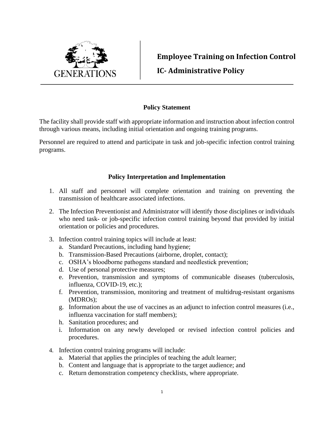

**Employee Training on Infection Control IC- Administrative Policy**

## **Policy Statement**

The facility shall provide staff with appropriate information and instruction about infection control through various means, including initial orientation and ongoing training programs.

Personnel are required to attend and participate in task and job-specific infection control training programs.

## **Policy Interpretation and Implementation**

- 1. All staff and personnel will complete orientation and training on preventing the transmission of healthcare associated infections.
- 2. The Infection Preventionist and Administrator will identify those disciplines or individuals who need task- or job-specific infection control training beyond that provided by initial orientation or policies and procedures.
- 3. Infection control training topics will include at least:
	- a. Standard Precautions, including hand hygiene;
	- b. Transmission-Based Precautions (airborne, droplet, contact);
	- c. OSHA's bloodborne pathogens standard and needlestick prevention;
	- d. Use of personal protective measures;
	- e. Prevention, transmission and symptoms of communicable diseases (tuberculosis, influenza, COVID-19, etc.);
	- f. Prevention, transmission, monitoring and treatment of multidrug-resistant organisms (MDROs);
	- g. Information about the use of vaccines as an adjunct to infection control measures (i.e., influenza vaccination for staff members);
	- h. Sanitation procedures; and
	- i. Information on any newly developed or revised infection control policies and procedures.
- 4. Infection control training programs will include:
	- a. Material that applies the principles of teaching the adult learner;
	- b. Content and language that is appropriate to the target audience; and
	- c. Return demonstration competency checklists, where appropriate.